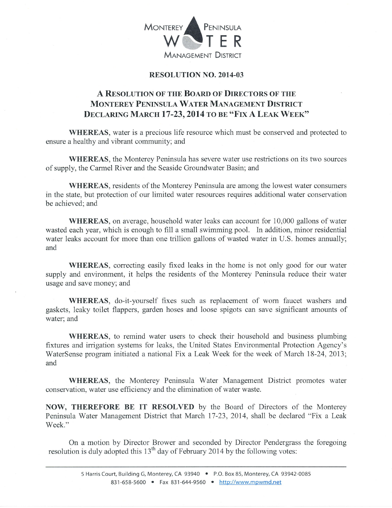

## RESOLUTION NO. 2OI4-03

## A RESOLUTION OF THE BOARD OF DIRECTORS OF THE MONTEREY PENINSULA WATER MANAGEMENT DISTRICT DECLARING MARCH 17-23, 2014 TO BE "FIX A LEAK WEEK"

WHEREAS, water is a precious life resource which must be conserved and protected to ensure a healthy and vibrant community; and

WHEREAS, the Monterey Peninsula has severe water use restrictions on its two sources of supply, the Carmel River and the Seaside Groundwater Basin; and

WHEREAS, residents of the Monterey Peninsula are among the lowest water consumers in the state, but protection of our limited water resources requires additional water conservation be achieved; and

WHEREAS, on average, household water leaks can account for 10,000 gallons of water wasted each year, which is enough to fill a small swimming pool. In addition, minor residential water leaks account for more than one trillion gallons of wasted water in U.S. homes annually; and

WHEREAS, correcting easily fixed leaks in the home is not only good for our water supply and environment, it helps the residents of the Monterey Peninsula reduce their water usage and save money; and

WHEREAS, do-it-yourself fixes such as replacement of wom faucet washers and gaskets, leaky toilet flappers, garden hoses and loose spigots can save significant amounts of water; and

WHEREAS, to remind water users to check their household and business plumbing fixtures and irrigation systems for leaks, the United States Environmental Protection Agency's WaterSense program initiated a national Fix a Leak Week for the week of March 18-24, 2013; and

WHEREAS, the Monterey Peninsula Water Management District promotes water conservation, water use efficiency and the elimination of water waste.

NOW, THEREFORE BE IT RESOLVED by the Board of Directors of the Monterey Peninsula Water Management District that March 17-23, 2014, shall be declared "Fix a Leak Week."

On a motion by Director Brower and seconded by Director Pendergrass the foregoing resolution is duly adopted this  $13<sup>th</sup>$  day of February 2014 by the following votes: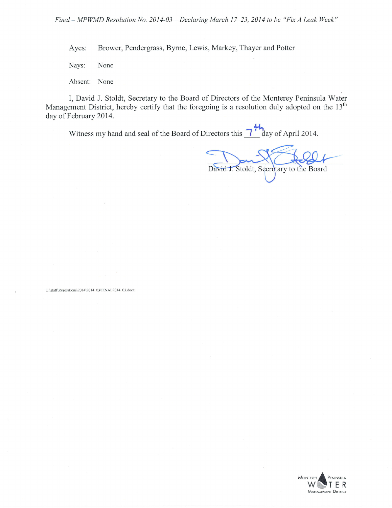Ayes: Brower, Pendergrass, Byrne, Lewis, Markey, Thayer and Potter

Nays: None

Absent: None

I, David J. Stoldt, Secretary to the Board of Directors of the Monterey Peninsula Water Management District, hereby certify that the foregoing is a resolution duly adopted on the 13<sup>th</sup> day of February 2014.

Witness my hand and seal of the Board of Directors this  $\frac{1+h}{\log n}$  day of April 2014.

David J. Stoldt, Secretary to the Board

U:\staff\Resolutions\2014\2014\_03\FINAL2014\_03.docx